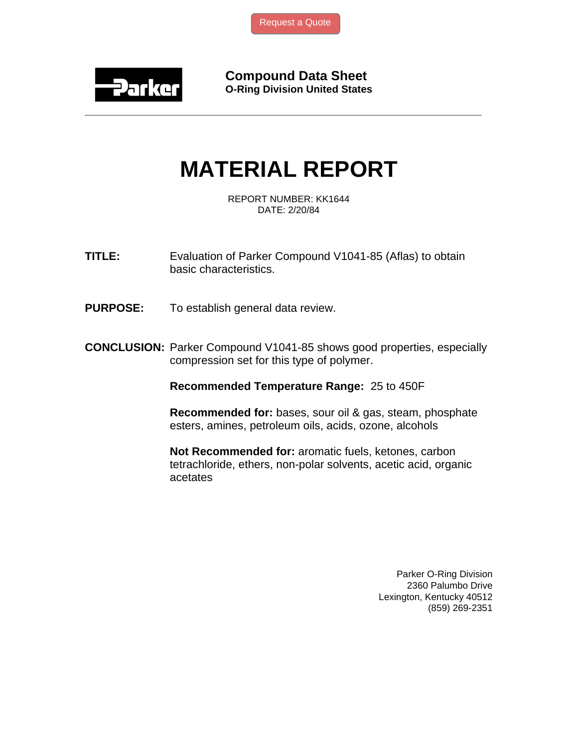

**Compound Data Sheet O-Ring Division United States** 

## **MATERIAL REPORT**

**\_\_\_\_\_\_\_\_\_\_\_\_\_\_\_\_\_\_\_\_\_\_\_\_\_\_\_\_\_\_\_\_\_\_\_\_\_\_\_\_\_\_\_\_\_\_\_\_\_\_\_\_\_\_\_\_\_\_\_\_\_\_\_** 

REPORT NUMBER: KK1644 DATE: 2/20/84

**TITLE:** Evaluation of Parker Compound V1041-85 (Aflas) to obtain basic characteristics.

**PURPOSE:** To establish general data review.

**CONCLUSION:** Parker Compound V1041-85 shows good properties, especially compression set for this type of polymer.

**Recommended Temperature Range:** 25 to 450F

**Recommended for:** bases, sour oil & gas, steam, phosphate esters, amines, petroleum oils, acids, ozone, alcohols

**Not Recommended for:** aromatic fuels, ketones, carbon tetrachloride, ethers, non-polar solvents, acetic acid, organic acetates

> Parker O-Ring Division 2360 Palumbo Drive Lexington, Kentucky 40512 (859) 269-2351